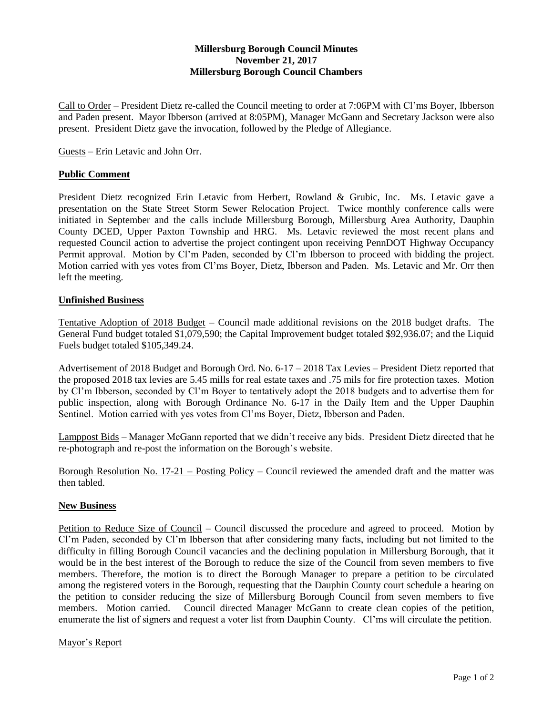## **Millersburg Borough Council Minutes November 21, 2017 Millersburg Borough Council Chambers**

Call to Order – President Dietz re-called the Council meeting to order at 7:06PM with Cl'ms Boyer, Ibberson and Paden present. Mayor Ibberson (arrived at 8:05PM), Manager McGann and Secretary Jackson were also present. President Dietz gave the invocation, followed by the Pledge of Allegiance.

Guests – Erin Letavic and John Orr.

## **Public Comment**

President Dietz recognized Erin Letavic from Herbert, Rowland & Grubic, Inc. Ms. Letavic gave a presentation on the State Street Storm Sewer Relocation Project. Twice monthly conference calls were initiated in September and the calls include Millersburg Borough, Millersburg Area Authority, Dauphin County DCED, Upper Paxton Township and HRG. Ms. Letavic reviewed the most recent plans and requested Council action to advertise the project contingent upon receiving PennDOT Highway Occupancy Permit approval. Motion by Cl'm Paden, seconded by Cl'm Ibberson to proceed with bidding the project. Motion carried with yes votes from Cl'ms Boyer, Dietz, Ibberson and Paden. Ms. Letavic and Mr. Orr then left the meeting.

## **Unfinished Business**

Tentative Adoption of 2018 Budget – Council made additional revisions on the 2018 budget drafts. The General Fund budget totaled \$1,079,590; the Capital Improvement budget totaled \$92,936.07; and the Liquid Fuels budget totaled \$105,349.24.

Advertisement of 2018 Budget and Borough Ord. No. 6-17 – 2018 Tax Levies – President Dietz reported that the proposed 2018 tax levies are 5.45 mills for real estate taxes and .75 mils for fire protection taxes. Motion by Cl'm Ibberson, seconded by Cl'm Boyer to tentatively adopt the 2018 budgets and to advertise them for public inspection, along with Borough Ordinance No. 6-17 in the Daily Item and the Upper Dauphin Sentinel. Motion carried with yes votes from Cl'ms Boyer, Dietz, Ibberson and Paden.

Lamppost Bids – Manager McGann reported that we didn't receive any bids. President Dietz directed that he re-photograph and re-post the information on the Borough's website.

Borough Resolution No. 17-21 – Posting Policy – Council reviewed the amended draft and the matter was then tabled.

## **New Business**

Petition to Reduce Size of Council – Council discussed the procedure and agreed to proceed. Motion by Cl'm Paden, seconded by Cl'm Ibberson that after considering many facts, including but not limited to the difficulty in filling Borough Council vacancies and the declining population in Millersburg Borough, that it would be in the best interest of the Borough to reduce the size of the Council from seven members to five members. Therefore, the motion is to direct the Borough Manager to prepare a petition to be circulated among the registered voters in the Borough, requesting that the Dauphin County court schedule a hearing on the petition to consider reducing the size of Millersburg Borough Council from seven members to five members. Motion carried. Council directed Manager McGann to create clean copies of the petition, enumerate the list of signers and request a voter list from Dauphin County. Cl'ms will circulate the petition.

Mayor's Report